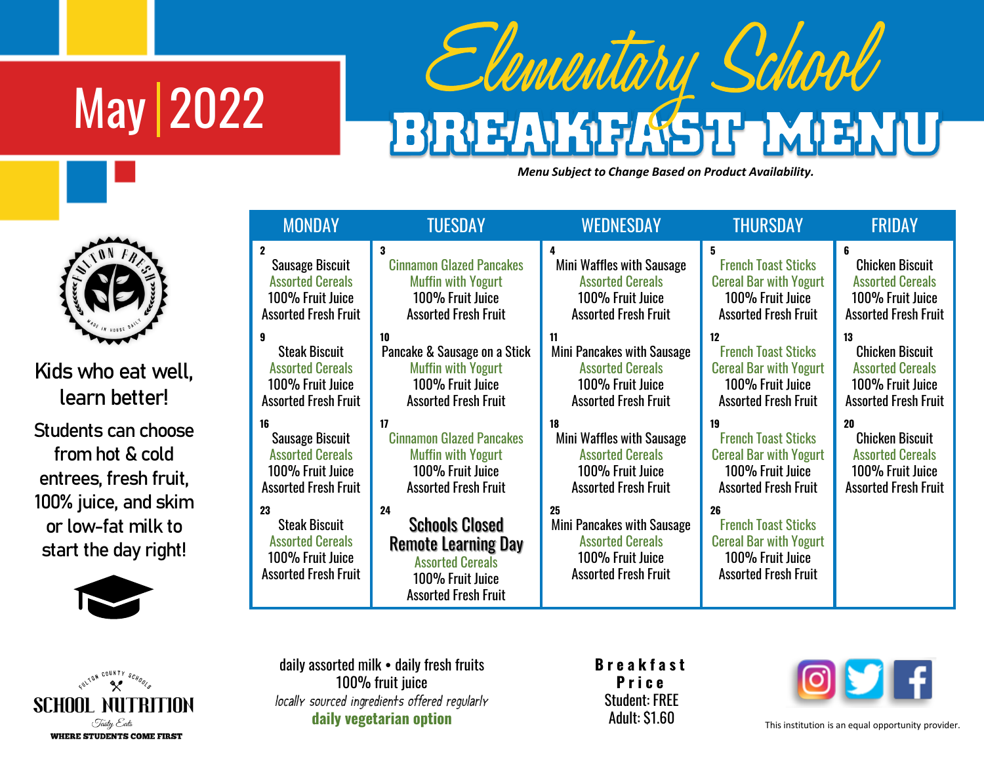## May 2022

## Elementary School **BREAD**

*Menu Subject to Change Based on Product Availability.*

|     | <b>MONDAY</b><br>TUESDAY                                                                                 |                                                                                                                                         | WEDNESDAY                                                                                                             | THURSDAY                                                                                                             | FRIDAY                      |  |
|-----|----------------------------------------------------------------------------------------------------------|-----------------------------------------------------------------------------------------------------------------------------------------|-----------------------------------------------------------------------------------------------------------------------|----------------------------------------------------------------------------------------------------------------------|-----------------------------|--|
|     | $\mathbf{2}$                                                                                             | 3                                                                                                                                       | 4                                                                                                                     | 5                                                                                                                    | 6                           |  |
|     | <b>Sausage Biscuit</b>                                                                                   | <b>Cinnamon Glazed Pancakes</b>                                                                                                         | Mini Waffles with Sausage                                                                                             | <b>French Toast Sticks</b>                                                                                           | <b>Chicken Biscuit</b>      |  |
|     | <b>Assorted Cereals</b>                                                                                  | <b>Muffin with Yogurt</b>                                                                                                               | <b>Assorted Cereals</b>                                                                                               | <b>Cereal Bar with Yogurt</b>                                                                                        | <b>Assorted Cereals</b>     |  |
|     | 100% Fruit Juice                                                                                         | 100% Fruit Juice                                                                                                                        | 100% Fruit Juice                                                                                                      | 100% Fruit Juice                                                                                                     | 100% Fruit Juice            |  |
|     | <b>Assorted Fresh Fruit</b>                                                                              | <b>Assorted Fresh Fruit</b>                                                                                                             | <b>Assorted Fresh Fruit</b>                                                                                           | <b>Assorted Fresh Fruit</b>                                                                                          | <b>Assorted Fresh Fruit</b> |  |
| .l, | 9                                                                                                        | 10                                                                                                                                      | 11                                                                                                                    | 12                                                                                                                   | 13                          |  |
|     | <b>Steak Biscuit</b>                                                                                     | Pancake & Sausage on a Stick                                                                                                            | Mini Pancakes with Sausage                                                                                            | <b>French Toast Sticks</b>                                                                                           | <b>Chicken Biscuit</b>      |  |
|     | <b>Assorted Cereals</b>                                                                                  | <b>Muffin with Yogurt</b>                                                                                                               | <b>Assorted Cereals</b>                                                                                               | <b>Cereal Bar with Yogurt</b>                                                                                        | <b>Assorted Cereals</b>     |  |
|     | 100% Fruit Juice                                                                                         | 100% Fruit Juice                                                                                                                        | 100% Fruit Juice                                                                                                      | 100% Fruit Juice                                                                                                     | 100% Fruit Juice            |  |
|     | <b>Assorted Fresh Fruit</b>                                                                              | <b>Assorted Fresh Fruit</b>                                                                                                             | <b>Assorted Fresh Fruit</b>                                                                                           | <b>Assorted Fresh Fruit</b>                                                                                          | <b>Assorted Fresh Fruit</b> |  |
| sе  | 16                                                                                                       | 17                                                                                                                                      | 18                                                                                                                    | 19                                                                                                                   | 20                          |  |
|     | <b>Sausage Biscuit</b>                                                                                   | <b>Cinnamon Glazed Pancakes</b>                                                                                                         | Mini Waffles with Sausage                                                                                             | <b>French Toast Sticks</b>                                                                                           | <b>Chicken Biscuit</b>      |  |
|     | <b>Assorted Cereals</b>                                                                                  | <b>Muffin with Yogurt</b>                                                                                                               | <b>Assorted Cereals</b>                                                                                               | <b>Cereal Bar with Yogurt</b>                                                                                        | <b>Assorted Cereals</b>     |  |
|     | 100% Fruit Juice                                                                                         | 100% Fruit Juice                                                                                                                        | 100% Fruit Juice                                                                                                      | 100% Fruit Juice                                                                                                     | 100% Fruit Juice            |  |
|     | <b>Assorted Fresh Fruit</b>                                                                              | <b>Assorted Fresh Fruit</b>                                                                                                             | <b>Assorted Fresh Fruit</b>                                                                                           | <b>Assorted Fresh Fruit</b>                                                                                          | <b>Assorted Fresh Fruit</b> |  |
| m   | 23<br><b>Steak Biscuit</b><br><b>Assorted Cereals</b><br>100% Fruit Juice<br><b>Assorted Fresh Fruit</b> | 24<br><b>Schools Closed</b><br><b>Remote Learning Day</b><br><b>Assorted Cereals</b><br>100% Fruit Juice<br><b>Assorted Fresh Fruit</b> | 25<br><b>Mini Pancakes with Sausage</b><br><b>Assorted Cereals</b><br>100% Fruit Juice<br><b>Assorted Fresh Fruit</b> | 26<br><b>French Toast Sticks</b><br><b>Cereal Bar with Yogurt</b><br>100% Fruit Juice<br><b>Assorted Fresh Fruit</b> |                             |  |



Kids who eat wel **learn better!**

**Students can choose from hot & cold entrees, fresh fruit,**  100% juice, and skir **or low-fat milk to start the day right!**



ILTON COUNTY SCHOOL

Tasty Eats **WHERE STUDENTS COME FIRST** 

SCHOOL F

| daily assorted milk • daily fresh fruits      |  |  |  |  |  |  |  |
|-----------------------------------------------|--|--|--|--|--|--|--|
| 100% fruit juice                              |  |  |  |  |  |  |  |
| locally sourced ingredients offered regularly |  |  |  |  |  |  |  |
| daily vegetarian option                       |  |  |  |  |  |  |  |

**B r e a k f a s t P r i c e** Student: FREE Adult: \$1.60